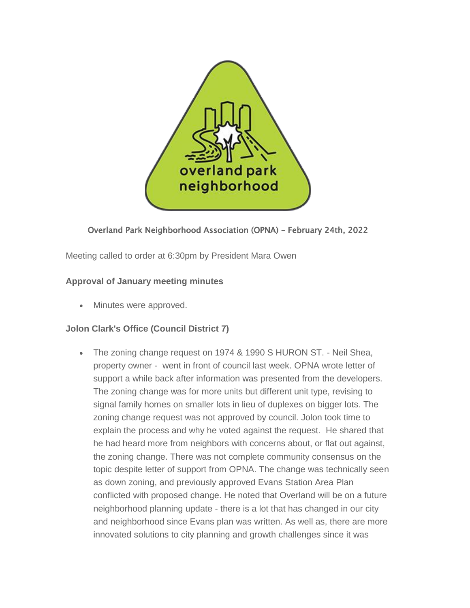

# Overland Park Neighborhood Association (OPNA) – February 24th, 2022

Meeting called to order at 6:30pm by President Mara Owen

# **Approval of January meeting minutes**

Minutes were approved.

# **Jolon Clark's Office (Council District 7)**

 The zoning change request on 1974 & 1990 S HURON ST. - Neil Shea, property owner - went in front of council last week. OPNA wrote letter of support a while back after information was presented from the developers. The zoning change was for more units but different unit type, revising to signal family homes on smaller lots in lieu of duplexes on bigger lots. The zoning change request was not approved by council. Jolon took time to explain the process and why he voted against the request. He shared that he had heard more from neighbors with concerns about, or flat out against, the zoning change. There was not complete community consensus on the topic despite letter of support from OPNA. The change was technically seen as down zoning, and previously approved Evans Station Area Plan conflicted with proposed change. He noted that Overland will be on a future neighborhood planning update - there is a lot that has changed in our city and neighborhood since Evans plan was written. As well as, there are more innovated solutions to city planning and growth challenges since it was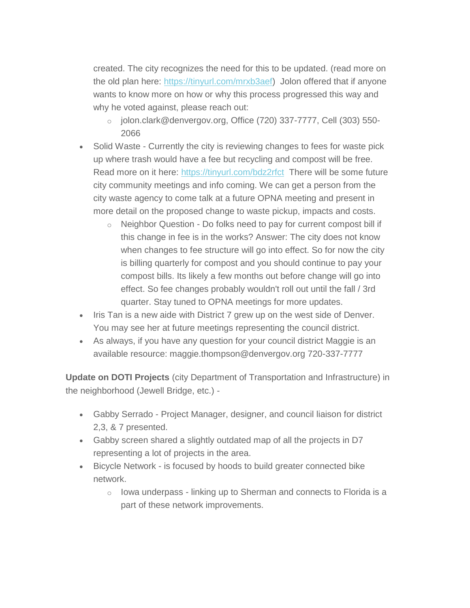created. The city recognizes the need for this to be updated. (read more on the old plan here: [https://tinyurl.com/mrxb3aef\)](https://tinyurl.com/mrxb3aef) Jolon offered that if anyone wants to know more on how or why this process progressed this way and why he voted against, please reach out:

- o jolon.clark@denvergov.org, Office (720) 337-7777, Cell (303) 550- 2066
- Solid Waste Currently the city is reviewing changes to fees for waste pick up where trash would have a fee but recycling and compost will be free. Read more on it here: <https://tinyurl.com/bdz2rfct> There will be some future city community meetings and info coming. We can get a person from the city waste agency to come talk at a future OPNA meeting and present in more detail on the proposed change to waste pickup, impacts and costs.
	- o Neighbor Question Do folks need to pay for current compost bill if this change in fee is in the works? Answer: The city does not know when changes to fee structure will go into effect. So for now the city is billing quarterly for compost and you should continue to pay your compost bills. Its likely a few months out before change will go into effect. So fee changes probably wouldn't roll out until the fall / 3rd quarter. Stay tuned to OPNA meetings for more updates.
- Iris Tan is a new aide with District 7 grew up on the west side of Denver. You may see her at future meetings representing the council district.
- As always, if you have any question for your council district Maggie is an available resource: maggie.thompson@denvergov.org 720-337-7777

**Update on DOTI Projects** (city Department of Transportation and Infrastructure) in the neighborhood (Jewell Bridge, etc.) -

- Gabby Serrado Project Manager, designer, and council liaison for district 2,3, & 7 presented.
- Gabby screen shared a slightly outdated map of all the projects in D7 representing a lot of projects in the area.
- Bicycle Network is focused by hoods to build greater connected bike network.
	- $\circ$  lowa underpass linking up to Sherman and connects to Florida is a part of these network improvements.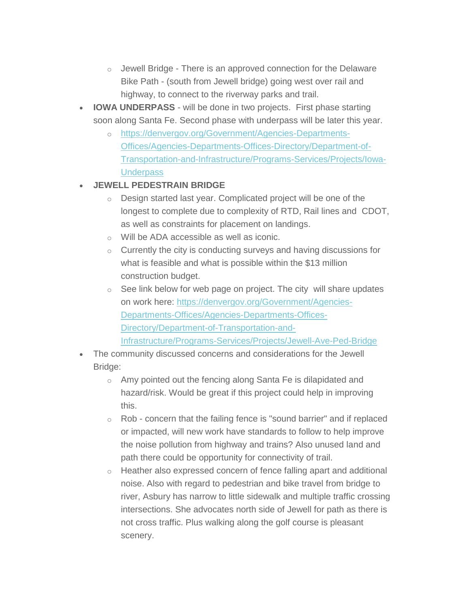- $\circ$  Jewell Bridge There is an approved connection for the Delaware Bike Path - (south from Jewell bridge) going west over rail and highway, to connect to the riverway parks and trail.
- **IOWA UNDERPASS** will be done in two projects. First phase starting soon along Santa Fe. Second phase with underpass will be later this year.
	- o [https://denvergov.org/Government/Agencies-Departments-](https://denvergov.org/Government/Agencies-Departments-Offices/Agencies-Departments-Offices-Directory/Department-of-Transportation-and-Infrastructure/Programs-Services/Projects/Iowa-Underpass)[Offices/Agencies-Departments-Offices-Directory/Department-of-](https://denvergov.org/Government/Agencies-Departments-Offices/Agencies-Departments-Offices-Directory/Department-of-Transportation-and-Infrastructure/Programs-Services/Projects/Iowa-Underpass)[Transportation-and-Infrastructure/Programs-Services/Projects/Iowa-](https://denvergov.org/Government/Agencies-Departments-Offices/Agencies-Departments-Offices-Directory/Department-of-Transportation-and-Infrastructure/Programs-Services/Projects/Iowa-Underpass)**[Underpass](https://denvergov.org/Government/Agencies-Departments-Offices/Agencies-Departments-Offices-Directory/Department-of-Transportation-and-Infrastructure/Programs-Services/Projects/Iowa-Underpass)**

# **JEWELL PEDESTRAIN BRIDGE**

- o Design started last year. Complicated project will be one of the longest to complete due to complexity of RTD, Rail lines and CDOT, as well as constraints for placement on landings.
- o Will be ADA accessible as well as iconic.
- o Currently the city is conducting surveys and having discussions for what is feasible and what is possible within the \$13 million construction budget.
- $\circ$  See link below for web page on project. The city will share updates on work here: [https://denvergov.org/Government/Agencies-](https://denvergov.org/Government/Agencies-Departments-Offices/Agencies-Departments-Offices-Directory/Department-of-Transportation-and-Infrastructure/Programs-Services/Projects/Jewell-Ave-Ped-Bridge)[Departments-Offices/Agencies-Departments-Offices-](https://denvergov.org/Government/Agencies-Departments-Offices/Agencies-Departments-Offices-Directory/Department-of-Transportation-and-Infrastructure/Programs-Services/Projects/Jewell-Ave-Ped-Bridge)[Directory/Department-of-Transportation-and-](https://denvergov.org/Government/Agencies-Departments-Offices/Agencies-Departments-Offices-Directory/Department-of-Transportation-and-Infrastructure/Programs-Services/Projects/Jewell-Ave-Ped-Bridge)[Infrastructure/Programs-Services/Projects/Jewell-Ave-Ped-Bridge](https://denvergov.org/Government/Agencies-Departments-Offices/Agencies-Departments-Offices-Directory/Department-of-Transportation-and-Infrastructure/Programs-Services/Projects/Jewell-Ave-Ped-Bridge)
- The community discussed concerns and considerations for the Jewell Bridge:
	- o Amy pointed out the fencing along Santa Fe is dilapidated and hazard/risk. Would be great if this project could help in improving this.
	- o Rob concern that the failing fence is "sound barrier" and if replaced or impacted, will new work have standards to follow to help improve the noise pollution from highway and trains? Also unused land and path there could be opportunity for connectivity of trail.
	- o Heather also expressed concern of fence falling apart and additional noise. Also with regard to pedestrian and bike travel from bridge to river, Asbury has narrow to little sidewalk and multiple traffic crossing intersections. She advocates north side of Jewell for path as there is not cross traffic. Plus walking along the golf course is pleasant scenery.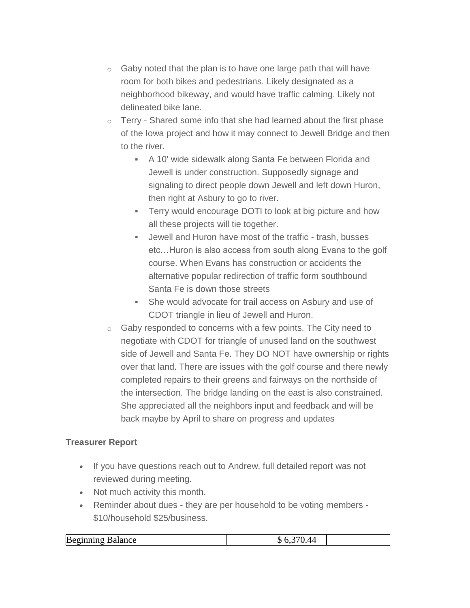- $\circ$  Gaby noted that the plan is to have one large path that will have room for both bikes and pedestrians. Likely designated as a neighborhood bikeway, and would have traffic calming. Likely not delineated bike lane.
- $\circ$  Terry Shared some info that she had learned about the first phase of the Iowa project and how it may connect to Jewell Bridge and then to the river.
	- A 10' wide sidewalk along Santa Fe between Florida and Jewell is under construction. Supposedly signage and signaling to direct people down Jewell and left down Huron, then right at Asbury to go to river.
	- Terry would encourage DOTI to look at big picture and how all these projects will tie together.
	- Jewell and Huron have most of the traffic trash, busses etc…Huron is also access from south along Evans to the golf course. When Evans has construction or accidents the alternative popular redirection of traffic form southbound Santa Fe is down those streets
	- She would advocate for trail access on Asbury and use of CDOT triangle in lieu of Jewell and Huron.
- $\circ$  Gaby responded to concerns with a few points. The City need to negotiate with CDOT for triangle of unused land on the southwest side of Jewell and Santa Fe. They DO NOT have ownership or rights over that land. There are issues with the golf course and there newly completed repairs to their greens and fairways on the northside of the intersection. The bridge landing on the east is also constrained. She appreciated all the neighbors input and feedback and will be back maybe by April to share on progress and updates

# **Treasurer Report**

- If you have questions reach out to Andrew, full detailed report was not reviewed during meeting.
- Not much activity this month.
- Reminder about dues they are per household to be voting members \$10/household \$25/business.

| Be<br>$\sim$<br>$\cdot$<br>⇒aiance<br>-- | ĸ |  |
|------------------------------------------|---|--|
|                                          |   |  |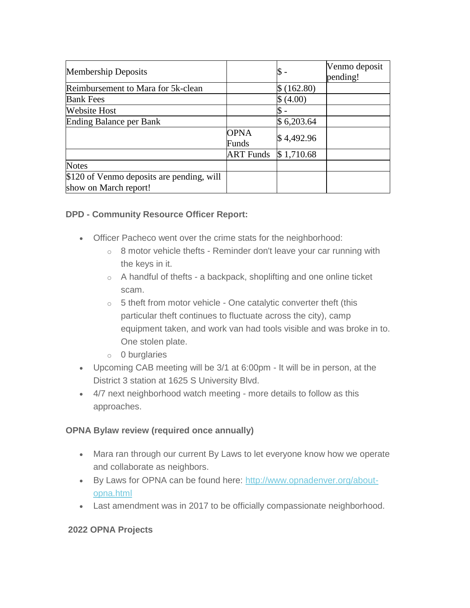| <b>Membership Deposits</b>                                         |                      |             | Venmo deposit<br>pending! |
|--------------------------------------------------------------------|----------------------|-------------|---------------------------|
| Reimbursement to Mara for 5k-clean                                 |                      | \$ (162.80) |                           |
| <b>Bank Fees</b>                                                   |                      | (4.00)      |                           |
| <b>Website Host</b>                                                |                      |             |                           |
| <b>Ending Balance per Bank</b>                                     |                      | \$6,203.64  |                           |
|                                                                    | <b>OPNA</b><br>Funds | \$4,492.96  |                           |
|                                                                    | ART Funds            | \$1,710.68  |                           |
| <b>Notes</b>                                                       |                      |             |                           |
| \$120 of Venmo deposits are pending, will<br>show on March report! |                      |             |                           |

### **DPD - Community Resource Officer Report:**

- Officer Pacheco went over the crime stats for the neighborhood:
	- $\circ$  8 motor vehicle thefts Reminder don't leave your car running with the keys in it.
	- $\circ$  A handful of thefts a backpack, shoplifting and one online ticket scam.
	- $\circ$  5 theft from motor vehicle One catalytic converter theft (this particular theft continues to fluctuate across the city), camp equipment taken, and work van had tools visible and was broke in to. One stolen plate.
	- o 0 burglaries
- Upcoming CAB meeting will be 3/1 at 6:00pm It will be in person, at the District 3 station at 1625 S University Blvd.
- 4/7 next neighborhood watch meeting more details to follow as this approaches.

### **OPNA Bylaw review (required once annually)**

- Mara ran through our current By Laws to let everyone know how we operate and collaborate as neighbors.
- By Laws for OPNA can be found here: [http://www.opnadenver.org/about](http://www.opnadenver.org/about-opna.html)[opna.html](http://www.opnadenver.org/about-opna.html)
- Last amendment was in 2017 to be officially compassionate neighborhood.

# **2022 OPNA Projects**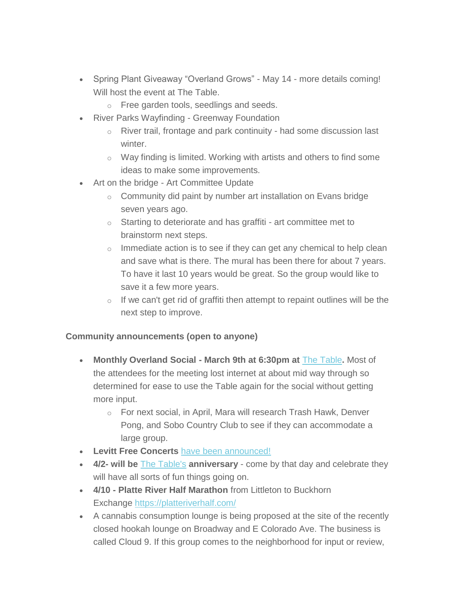- Spring Plant Giveaway "Overland Grows" May 14 more details coming! Will host the event at The Table.
	- o Free garden tools, seedlings and seeds.
- River Parks Wayfinding Greenway Foundation
	- o River trail, frontage and park continuity had some discussion last winter.
	- o Way finding is limited. Working with artists and others to find some ideas to make some improvements.
- Art on the bridge Art Committee Update
	- o Community did paint by number art installation on Evans bridge seven years ago.
	- $\circ$  Starting to deteriorate and has graffiti art committee met to brainstorm next steps.
	- $\circ$  Immediate action is to see if they can get any chemical to help clean and save what is there. The mural has been there for about 7 years. To have it last 10 years would be great. So the group would like to save it a few more years.
	- o If we can't get rid of graffiti then attempt to repaint outlines will be the next step to improve.

### **Community announcements (open to anyone)**

- **Monthly Overland Social - March 9th at 6:30pm at** [The Table](https://www.denvertable.org/publichouse/)**.** Most of the attendees for the meeting lost internet at about mid way through so determined for ease to use the Table again for the social without getting more input.
	- o For next social, in April, Mara will research Trash Hawk, Denver Pong, and Sobo Country Club to see if they can accommodate a large group.
- **Levitt Free Concerts** [have been announced!](https://www.levittdenver.org/free-concert-series-calendar)
- **4/2- will be** [The Table's](https://www.denvertable.org/publichouse/) **anniversary** come by that day and celebrate they will have all sorts of fun things going on.
- **4/10 - Platte River Half Marathon** from Littleton to Buckhorn Exchange <https://platteriverhalf.com/>
- A cannabis consumption lounge is being proposed at the site of the recently closed hookah lounge on Broadway and E Colorado Ave. The business is called Cloud 9. If this group comes to the neighborhood for input or review,